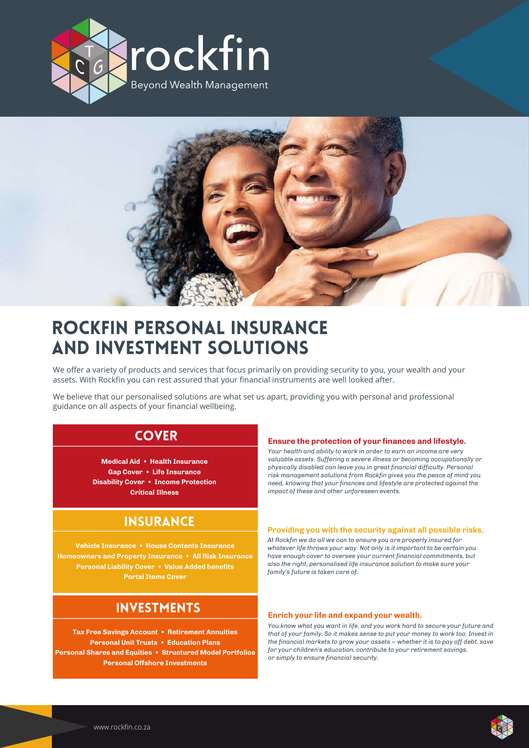



# ROCKFIN PERSONAL INSURANCE AND INVESTMENT SOLUTIONS

We offer a variety of products and services that focus primarily on providing security to you, your wealth and your assets. With Rockfin you can rest assured that your financial instruments are well looked after.

We believe that our personalised solutions are what set us apart, providing you with personal and professional guidance on all aspects of your financial wellbeing.

### **COVER**

**Medical Aid • Health Insurance Gap Cover • Life Insurance Disability Cover • Income Protection Critical Illness**

## **INSURANCE**

**Vehicle Insurance • House Contents Insurance Homeowners and Property Insurance • All Risk Insurance Personal Liability Cover • Value Added benefits Portal Items Cover**

## INVESTMENTS

**Tax Free Savings Account • Retirement Annuities Personal Unit Trusts • Education Plans Personal Shares and Equities • Structured Model Portfolios Personal Offshore Investments**

### **Ensure the protection of your finances and lifestyle.**

*Your health and ability to work in order to earn an income are very valuable assets. Suffering a severe illness or becoming occupationally or physically disabled can leave you in great financial difficulty. Personal risk management solutions from Rockfin gives you the peace of mind you need, knowing that your finances and lifestyle are protected against the impact of these and other unforeseen events.*

### **Providing you with the security against all possible risks.**

*At Rockfin we do all we can to ensure you are properly insured for whatever life throws your way. Not only is it important to be certain you have enough cover to oversee your current financial commitments, but also the right, personalised life insurance solution to make sure your family's future is taken care of.*

### **Enrich your life and expand your wealth.**

*You know what you want in life, and you work hard to secure your future and that of your family. So it makes sense to put your money to work too. Invest in the financial markets to grow your assets – whether it is to pay off debt, save for your children's education, contribute to your retirement savings, or simply to ensure financial security.*